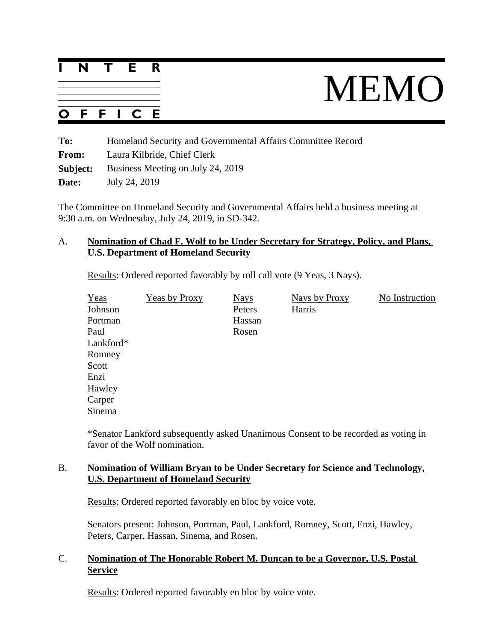# **INTER**

# **MEMO**

# **OFFICE**

**To:** Homeland Security and Governmental Affairs Committee Record **From:** Laura Kilbride, Chief Clerk **Subject:** Business Meeting on July 24, 2019 **Date:** July 24, 2019

The Committee on Homeland Security and Governmental Affairs held a business meeting at 9:30 a.m. on Wednesday, July 24, 2019, in SD-342.

# A. **Nomination of Chad F. Wolf to be Under Secretary for Strategy, Policy, and Plans, U.S. Department of Homeland Security**

Results: Ordered reported favorably by roll call vote (9 Yeas, 3 Nays).

| Yeas      | Yeas by Proxy | <b>Nays</b> | Nays by Proxy | No Instruction |
|-----------|---------------|-------------|---------------|----------------|
| Johnson   |               | Peters      | Harris        |                |
| Portman   |               | Hassan      |               |                |
| Paul      |               | Rosen       |               |                |
| Lankford* |               |             |               |                |
| Romney    |               |             |               |                |
| Scott     |               |             |               |                |
| Enzi      |               |             |               |                |
| Hawley    |               |             |               |                |
| Carper    |               |             |               |                |
| Sinema    |               |             |               |                |

\*Senator Lankford subsequently asked Unanimous Consent to be recorded as voting in favor of the Wolf nomination.

# B. **Nomination of William Bryan to be Under Secretary for Science and Technology, U.S. Department of Homeland Security**

Results: Ordered reported favorably en bloc by voice vote.

Senators present: Johnson, Portman, Paul, Lankford, Romney, Scott, Enzi, Hawley, Peters, Carper, Hassan, Sinema, and Rosen.

# C. **Nomination of The Honorable Robert M. Duncan to be a Governor, U.S. Postal Service**

Results: Ordered reported favorably en bloc by voice vote.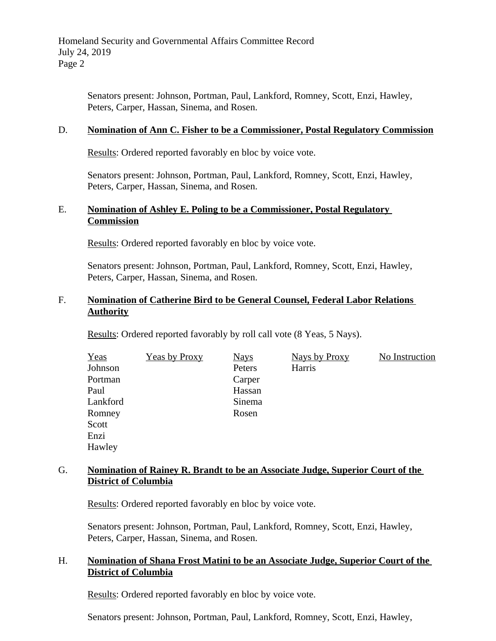Senators present: Johnson, Portman, Paul, Lankford, Romney, Scott, Enzi, Hawley, Peters, Carper, Hassan, Sinema, and Rosen.

#### D. **Nomination of Ann C. Fisher to be a Commissioner, Postal Regulatory Commission**

Results: Ordered reported favorably en bloc by voice vote.

Senators present: Johnson, Portman, Paul, Lankford, Romney, Scott, Enzi, Hawley, Peters, Carper, Hassan, Sinema, and Rosen.

#### E. **Nomination of Ashley E. Poling to be a Commissioner, Postal Regulatory Commission**

Results: Ordered reported favorably en bloc by voice vote.

Senators present: Johnson, Portman, Paul, Lankford, Romney, Scott, Enzi, Hawley, Peters, Carper, Hassan, Sinema, and Rosen.

# F. **Nomination of Catherine Bird to be General Counsel, Federal Labor Relations Authority**

Results: Ordered reported favorably by roll call vote (8 Yeas, 5 Nays).

| Yeas     | <b>Yeas by Proxy</b> | <b>Nays</b> | <b>Nays by Proxy</b> | No Instruction |
|----------|----------------------|-------------|----------------------|----------------|
| Johnson  |                      | Peters      | Harris               |                |
| Portman  |                      | Carper      |                      |                |
| Paul     |                      | Hassan      |                      |                |
| Lankford |                      | Sinema      |                      |                |
| Romney   |                      | Rosen       |                      |                |
| Scott    |                      |             |                      |                |
| Enzi     |                      |             |                      |                |
| Hawley   |                      |             |                      |                |

#### G. **Nomination of Rainey R. Brandt to be an Associate Judge, Superior Court of the District of Columbia**

Results: Ordered reported favorably en bloc by voice vote.

Senators present: Johnson, Portman, Paul, Lankford, Romney, Scott, Enzi, Hawley, Peters, Carper, Hassan, Sinema, and Rosen.

# H. **Nomination of Shana Frost Matini to be an Associate Judge, Superior Court of the District of Columbia**

Results: Ordered reported favorably en bloc by voice vote.

Senators present: Johnson, Portman, Paul, Lankford, Romney, Scott, Enzi, Hawley,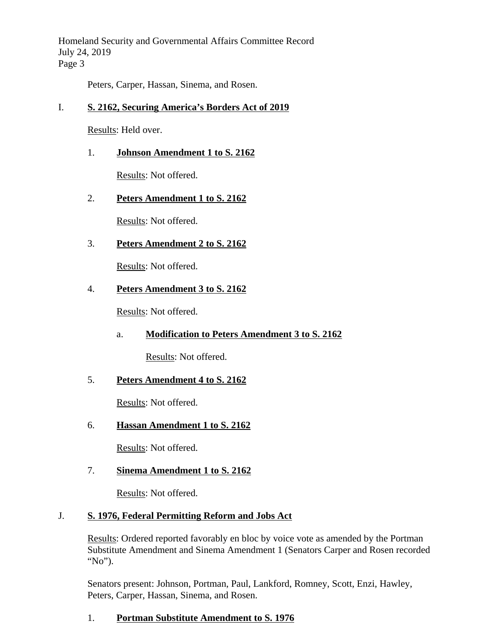Peters, Carper, Hassan, Sinema, and Rosen.

#### I. **S. 2162, Securing America's Borders Act of 2019**

#### Results: Held over.

#### 1. **Johnson Amendment 1 to S. 2162**

Results: Not offered.

# 2. **Peters Amendment 1 to S. 2162**

Results: Not offered.

3. **Peters Amendment 2 to S. 2162**

Results: Not offered.

# 4. **Peters Amendment 3 to S. 2162**

Results: Not offered.

# a. **Modification to Peters Amendment 3 to S. 2162**

Results: Not offered.

#### 5. **Peters Amendment 4 to S. 2162**

Results: Not offered.

#### 6. **Hassan Amendment 1 to S. 2162**

Results: Not offered.

# 7. **Sinema Amendment 1 to S. 2162**

Results: Not offered.

# J. **S. 1976, Federal Permitting Reform and Jobs Act**

Results: Ordered reported favorably en bloc by voice vote as amended by the Portman Substitute Amendment and Sinema Amendment 1 (Senators Carper and Rosen recorded "No").

Senators present: Johnson, Portman, Paul, Lankford, Romney, Scott, Enzi, Hawley, Peters, Carper, Hassan, Sinema, and Rosen.

# 1. **Portman Substitute Amendment to S. 1976**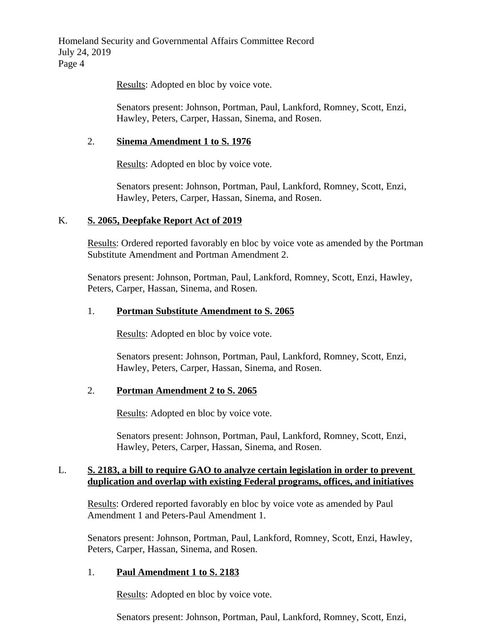Results: Adopted en bloc by voice vote.

Senators present: Johnson, Portman, Paul, Lankford, Romney, Scott, Enzi, Hawley, Peters, Carper, Hassan, Sinema, and Rosen.

#### 2. **Sinema Amendment 1 to S. 1976**

Results: Adopted en bloc by voice vote.

Senators present: Johnson, Portman, Paul, Lankford, Romney, Scott, Enzi, Hawley, Peters, Carper, Hassan, Sinema, and Rosen.

#### K. **S. 2065, Deepfake Report Act of 2019**

Results: Ordered reported favorably en bloc by voice vote as amended by the Portman Substitute Amendment and Portman Amendment 2.

Senators present: Johnson, Portman, Paul, Lankford, Romney, Scott, Enzi, Hawley, Peters, Carper, Hassan, Sinema, and Rosen.

#### 1. **Portman Substitute Amendment to S. 2065**

Results: Adopted en bloc by voice vote.

Senators present: Johnson, Portman, Paul, Lankford, Romney, Scott, Enzi, Hawley, Peters, Carper, Hassan, Sinema, and Rosen.

#### 2. **Portman Amendment 2 to S. 2065**

Results: Adopted en bloc by voice vote.

Senators present: Johnson, Portman, Paul, Lankford, Romney, Scott, Enzi, Hawley, Peters, Carper, Hassan, Sinema, and Rosen.

#### L. S. 2183, a bill to require GAO to analyze certain legislation in order to prevent **duplication and overlap with existing Federal programs, offices, and initiatives**

Results: Ordered reported favorably en bloc by voice vote as amended by Paul Amendment 1 and Peters-Paul Amendment 1.

Senators present: Johnson, Portman, Paul, Lankford, Romney, Scott, Enzi, Hawley, Peters, Carper, Hassan, Sinema, and Rosen.

#### 1. **Paul Amendment 1 to S. 2183**

Results: Adopted en bloc by voice vote.

Senators present: Johnson, Portman, Paul, Lankford, Romney, Scott, Enzi,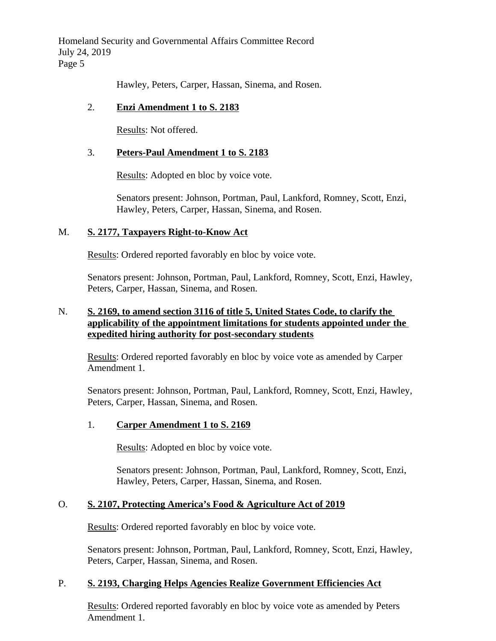Hawley, Peters, Carper, Hassan, Sinema, and Rosen.

#### 2. **Enzi Amendment 1 to S. 2183**

Results: Not offered.

#### 3. **Peters-Paul Amendment 1 to S. 2183**

Results: Adopted en bloc by voice vote.

Senators present: Johnson, Portman, Paul, Lankford, Romney, Scott, Enzi, Hawley, Peters, Carper, Hassan, Sinema, and Rosen.

#### M. **S. 2177, Taxpayers Right-to-Know Act**

Results: Ordered reported favorably en bloc by voice vote.

Senators present: Johnson, Portman, Paul, Lankford, Romney, Scott, Enzi, Hawley, Peters, Carper, Hassan, Sinema, and Rosen.

#### N. **S. 2169, to amend section 3116 of title 5, United States Code, to clarify the applicability of the appointment limitations for students appointed under the expedited hiring authority for post-secondary students**

Results: Ordered reported favorably en bloc by voice vote as amended by Carper Amendment 1.

Senators present: Johnson, Portman, Paul, Lankford, Romney, Scott, Enzi, Hawley, Peters, Carper, Hassan, Sinema, and Rosen.

#### 1. **Carper Amendment 1 to S. 2169**

Results: Adopted en bloc by voice vote.

Senators present: Johnson, Portman, Paul, Lankford, Romney, Scott, Enzi, Hawley, Peters, Carper, Hassan, Sinema, and Rosen.

# O. **S. 2107, Protecting America's Food & Agriculture Act of 2019**

Results: Ordered reported favorably en bloc by voice vote.

Senators present: Johnson, Portman, Paul, Lankford, Romney, Scott, Enzi, Hawley, Peters, Carper, Hassan, Sinema, and Rosen.

# P. **S. 2193, Charging Helps Agencies Realize Government Efficiencies Act**

Results: Ordered reported favorably en bloc by voice vote as amended by Peters Amendment 1.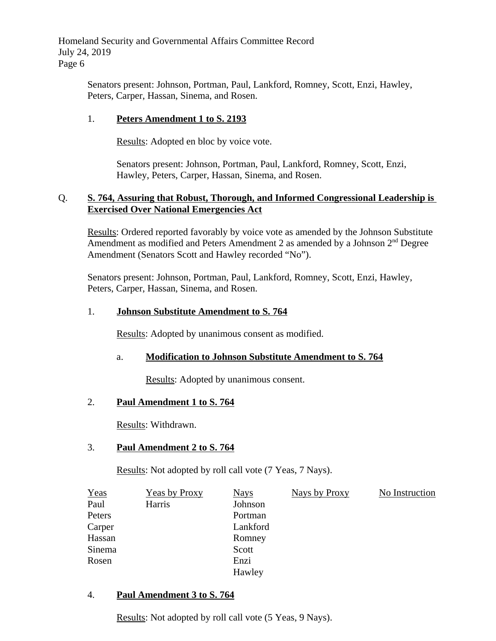> Senators present: Johnson, Portman, Paul, Lankford, Romney, Scott, Enzi, Hawley, Peters, Carper, Hassan, Sinema, and Rosen.

# 1. **Peters Amendment 1 to S. 2193**

Results: Adopted en bloc by voice vote.

Senators present: Johnson, Portman, Paul, Lankford, Romney, Scott, Enzi, Hawley, Peters, Carper, Hassan, Sinema, and Rosen.

# Q. **S. 764, Assuring that Robust, Thorough, and Informed Congressional Leadership is Exercised Over National Emergencies Act**

Results: Ordered reported favorably by voice vote as amended by the Johnson Substitute Amendment as modified and Peters Amendment 2 as amended by a Johnson  $2<sup>nd</sup>$  Degree Amendment (Senators Scott and Hawley recorded "No").

Senators present: Johnson, Portman, Paul, Lankford, Romney, Scott, Enzi, Hawley, Peters, Carper, Hassan, Sinema, and Rosen.

# 1. **Johnson Substitute Amendment to S. 764**

Results: Adopted by unanimous consent as modified.

# a. **Modification to Johnson Substitute Amendment to S. 764**

Results: Adopted by unanimous consent.

# 2. **Paul Amendment 1 to S. 764**

Results: Withdrawn.

# 3. **Paul Amendment 2 to S. 764**

Results: Not adopted by roll call vote (7 Yeas, 7 Nays).

| Yeas   | <b>Yeas by Proxy</b> | <b>Nays</b> | Nays by Proxy | No Instruction |
|--------|----------------------|-------------|---------------|----------------|
| Paul   | Harris               | Johnson     |               |                |
| Peters |                      | Portman     |               |                |
| Carper |                      | Lankford    |               |                |
| Hassan |                      | Romney      |               |                |
| Sinema |                      | Scott       |               |                |
| Rosen  |                      | Enzi        |               |                |
|        |                      | Hawley      |               |                |

# 4. **Paul Amendment 3 to S. 764**

Results: Not adopted by roll call vote (5 Yeas, 9 Nays).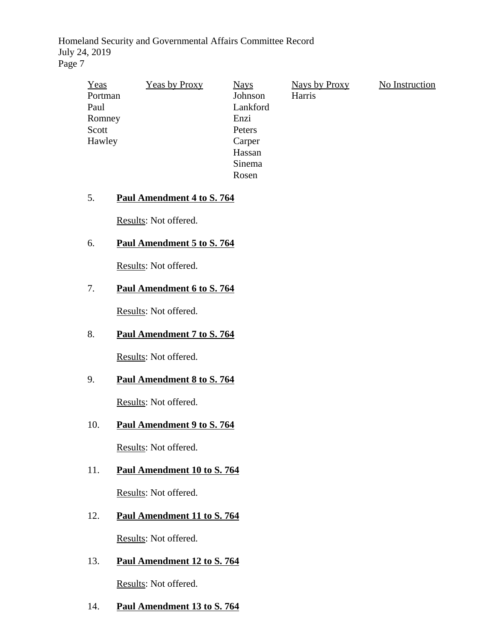| Yeas    | <b>Yeas by Proxy</b> | <b>Nays</b> | Nays by Proxy | No Instruction |
|---------|----------------------|-------------|---------------|----------------|
| Portman |                      | Johnson     | Harris        |                |
| Paul    |                      | Lankford    |               |                |
| Romney  |                      | Enzi        |               |                |
| Scott   |                      | Peters      |               |                |
| Hawley  |                      | Carper      |               |                |
|         |                      | Hassan      |               |                |
|         |                      | Sinema      |               |                |
|         |                      | Rosen       |               |                |
|         |                      |             |               |                |

#### 5. **Paul Amendment 4 to S. 764**

Results: Not offered.

6. **Paul Amendment 5 to S. 764**

Results: Not offered.

7. **Paul Amendment 6 to S. 764**

Results: Not offered.

- 8. **Paul Amendment 7 to S. 764** Results: Not offered.
- 9. **Paul Amendment 8 to S. 764** Results: Not offered.
- 10. **Paul Amendment 9 to S. 764** Results: Not offered.
- 11. **Paul Amendment 10 to S. 764** Results: Not offered.
- 12. **Paul Amendment 11 to S. 764** Results: Not offered.
- 13. **Paul Amendment 12 to S. 764** Results: Not offered.
- 14. **Paul Amendment 13 to S. 764**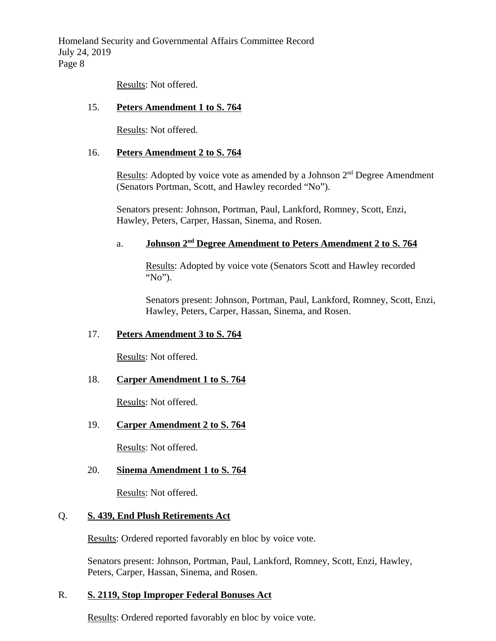Results: Not offered.

#### 15. **Peters Amendment 1 to S. 764**

Results: Not offered.

#### 16. **Peters Amendment 2 to S. 764**

Results: Adopted by voice vote as amended by a Johnson 2<sup>nd</sup> Degree Amendment (Senators Portman, Scott, and Hawley recorded "No").

Senators present: Johnson, Portman, Paul, Lankford, Romney, Scott, Enzi, Hawley, Peters, Carper, Hassan, Sinema, and Rosen.

# a. **Johnson 2nd Degree Amendment to Peters Amendment 2 to S. 764**

Results: Adopted by voice vote (Senators Scott and Hawley recorded "No").

Senators present: Johnson, Portman, Paul, Lankford, Romney, Scott, Enzi, Hawley, Peters, Carper, Hassan, Sinema, and Rosen.

#### 17. **Peters Amendment 3 to S. 764**

Results: Not offered.

#### 18. **Carper Amendment 1 to S. 764**

Results: Not offered.

#### 19. **Carper Amendment 2 to S. 764**

Results: Not offered.

#### 20. **Sinema Amendment 1 to S. 764**

Results: Not offered.

# Q. **S. 439, End Plush Retirements Act**

Results: Ordered reported favorably en bloc by voice vote.

Senators present: Johnson, Portman, Paul, Lankford, Romney, Scott, Enzi, Hawley, Peters, Carper, Hassan, Sinema, and Rosen.

#### R. **S. 2119, Stop Improper Federal Bonuses Act**

Results: Ordered reported favorably en bloc by voice vote.